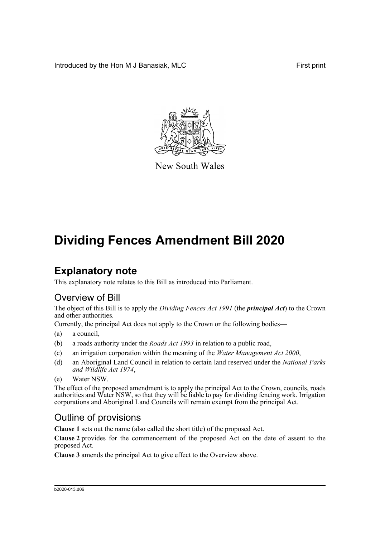Introduced by the Hon M J Banasiak, MLC First print



New South Wales

# **Dividing Fences Amendment Bill 2020**

## **Explanatory note**

This explanatory note relates to this Bill as introduced into Parliament.

#### Overview of Bill

The object of this Bill is to apply the *Dividing Fences Act 1991* (the *principal Act*) to the Crown and other authorities.

Currently, the principal Act does not apply to the Crown or the following bodies—

- (a) a council,
- (b) a roads authority under the *Roads Act 1993* in relation to a public road,
- (c) an irrigation corporation within the meaning of the *Water Management Act 2000*,
- (d) an Aboriginal Land Council in relation to certain land reserved under the *National Parks and Wildlife Act 1974*,
- (e) Water NSW.

The effect of the proposed amendment is to apply the principal Act to the Crown, councils, roads authorities and Water NSW, so that they will be liable to pay for dividing fencing work. Irrigation corporations and Aboriginal Land Councils will remain exempt from the principal Act.

#### Outline of provisions

**Clause 1** sets out the name (also called the short title) of the proposed Act.

**Clause 2** provides for the commencement of the proposed Act on the date of assent to the proposed Act.

**Clause 3** amends the principal Act to give effect to the Overview above.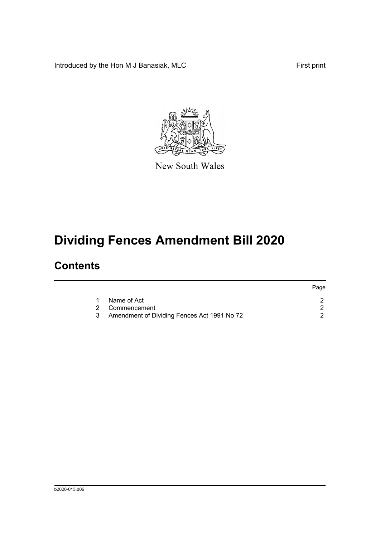Introduced by the Hon M J Banasiak, MLC First print



New South Wales

# **Dividing Fences Amendment Bill 2020**

### **Contents**

|              |                                               | Page |
|--------------|-----------------------------------------------|------|
| $\mathbf{1}$ | Name of Act                                   |      |
|              | 2 Commencement                                |      |
|              | 3 Amendment of Dividing Fences Act 1991 No 72 |      |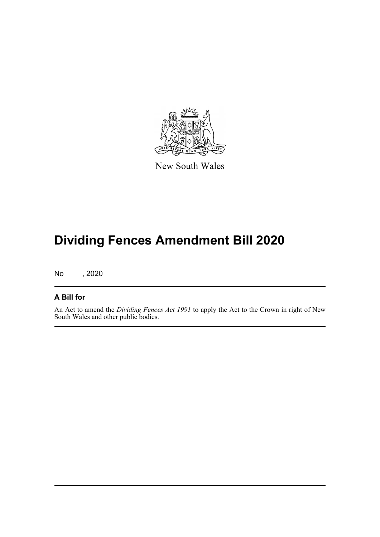

New South Wales

# **Dividing Fences Amendment Bill 2020**

No , 2020

#### **A Bill for**

An Act to amend the *Dividing Fences Act 1991* to apply the Act to the Crown in right of New South Wales and other public bodies.